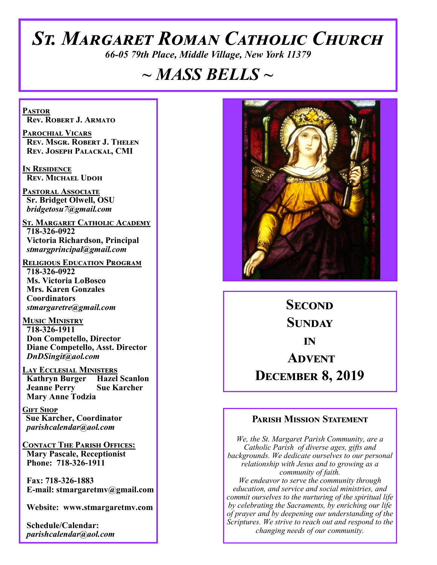# *St. Margaret Roman Catholic Church*

*66-05 79th Place, Middle Village, New York 11379*

# *~ MASS BELLS ~*

**Pastor Rev. Robert J. Armato**

**Parochial Vicars Rev. Msgr. Robert J. Thelen Rev. Joseph Palackal, CMI**

**In Residence Rev. Michael Udoh**

**Pastoral Associate Sr. Bridget Olwell, OSU**  *bridgetosu7@gmail.com*

**St. Margaret Catholic Academy 718-326-0922 Victoria Richardson, Principal**  *stmargprincipal@gmail.com*

**Religious Education Program 718-326-0922 Ms. Victoria LoBosco Mrs. Karen Gonzales Coordinators** *stmargaretre@gmail.com*

**Music Ministry 718-326-1911 Don Competello, Director Diane Competello, Asst. Director** *DnDSingit@aol.com*

**LAY ECCLESIAL MINISTERS<br>
Kathryn Burger Hazel Scanlon Kathryn Burger Jeanne Perry Sue Karcher Mary Anne Todzia**

**Gift Shop Sue Karcher, Coordinator** *parishcalendar@aol.com*

**Contact The Parish Offices: Mary Pascale, Receptionist Phone: 718-326-1911** 

 **Fax: 718-326-1883 E-mail: stmargaretmv@gmail.com**

 **Website: www.stmargaretmv.com**

 **Schedule/Calendar:** *parishcalendar@aol.com* 



**Second Sunday in Advent December 8, 2019** 

#### **Parish Mission Statement**

*We, the St. Margaret Parish Community, are a Catholic Parish of diverse ages, gifts and backgrounds. We dedicate ourselves to our personal relationship with Jesus and to growing as a community of faith. We endeavor to serve the community through education, and service and social ministries, and commit ourselves to the nurturing of the spiritual life by celebrating the Sacraments, by enriching our life of prayer and by deepening our understanding of the Scriptures. We strive to reach out and respond to the changing needs of our community.*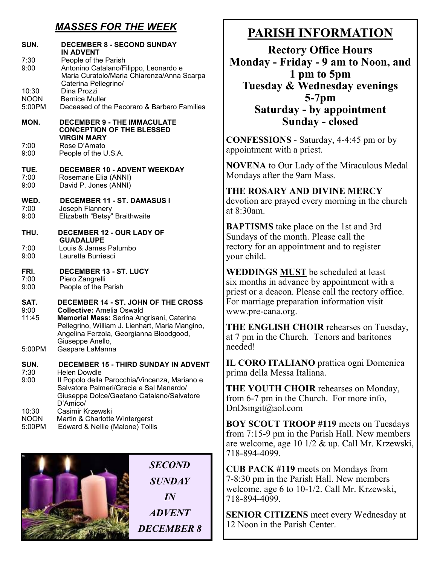## *MASSES FOR THE WEEK*

| SUN.                            | <b>DECEMBER 8 - SECOND SUNDAY</b><br>IN ADVENT                                                                                                                                                                                                            |  |
|---------------------------------|-----------------------------------------------------------------------------------------------------------------------------------------------------------------------------------------------------------------------------------------------------------|--|
| 7:30<br>9:00                    | People of the Parish<br>Antonino Catalano/Filippo, Leonardo e<br>Maria Curatolo/Maria Chiarenza/Anna Scarpa<br>Caterina Pellegrino/                                                                                                                       |  |
| 10:30                           | Dina Prozzi                                                                                                                                                                                                                                               |  |
| <b>NOON</b>                     | <b>Bernice Muller</b>                                                                                                                                                                                                                                     |  |
| 5:00PM                          | Deceased of the Pecoraro & Barbaro Families                                                                                                                                                                                                               |  |
| MON.                            | <b>DECEMBER 9 - THE IMMACULATE</b><br><b>CONCEPTION OF THE BLESSED</b><br><b>VIRGIN MARY</b>                                                                                                                                                              |  |
| 7:00                            | Rose D'Amato                                                                                                                                                                                                                                              |  |
| 9:00                            | People of the U.S.A.                                                                                                                                                                                                                                      |  |
| TUE.                            | <b>DECEMBER 10 - ADVENT WEEKDAY</b>                                                                                                                                                                                                                       |  |
| 7:00                            | Rosemarie Elia (ANNI)                                                                                                                                                                                                                                     |  |
| 9:00                            | David P. Jones (ANNI)                                                                                                                                                                                                                                     |  |
| WED.                            | DECEMBER 11 - ST. DAMASUS I                                                                                                                                                                                                                               |  |
| 7:00                            | Joseph Flannery                                                                                                                                                                                                                                           |  |
| 9:00                            | Elizabeth "Betsy" Braithwaite                                                                                                                                                                                                                             |  |
| THU.                            | <b>DECEMBER 12 - OUR LADY OF</b><br><b>GUADALUPE</b>                                                                                                                                                                                                      |  |
| 7:00                            | Louis & James Palumbo                                                                                                                                                                                                                                     |  |
| 9:00                            | Lauretta Burriesci                                                                                                                                                                                                                                        |  |
| FRI.                            | <b>DECEMBER 13 - ST. LUCY</b>                                                                                                                                                                                                                             |  |
| 7:00                            | Piero Zangrelli                                                                                                                                                                                                                                           |  |
| 9:00                            | People of the Parish                                                                                                                                                                                                                                      |  |
| SAT.<br>9:00<br>11:45<br>5:00PM | DECEMBER 14 - ST. JOHN OF THE CROSS<br><b>Collective: Amelia Oswald</b><br>Memorial Mass: Serina Angrisani, Caterina<br>Pellegrino, William J. Lienhart, Maria Mangino,<br>Angelina Ferzola, Georgianna Bloodgood,<br>Giuseppe Anello,<br>Gaspare LaManna |  |
| SUN.                            | <b>DECEMBER 15 - THIRD SUNDAY IN ADVENT</b>                                                                                                                                                                                                               |  |
| 7:30<br>9:00                    | <b>Helen Dowdle</b><br>Il Popolo della Parocchia/Vincenza, Mariano e<br>Salvatore Palmeri/Gracie e Sal Manardo/<br>Giuseppa Dolce/Gaetano Catalano/Salvatore<br>D'Amico/                                                                                  |  |
| 10:30                           | Casimir Krzewski                                                                                                                                                                                                                                          |  |
| <b>NOON</b>                     | Martin & Charlotte Wintergerst                                                                                                                                                                                                                            |  |
| 5:00PM                          | Edward & Nellie (Malone) Tollis                                                                                                                                                                                                                           |  |



## **PARISH INFORMATION**

**Rectory Office Hours Monday - Friday - 9 am to Noon, and 1 pm to 5pm Tuesday & Wednesday evenings 5-7pm Saturday - by appointment Sunday - closed**

**CONFESSIONS** - Saturday, 4-4:45 pm or by appointment with a priest.

**NOVENA** to Our Lady of the Miraculous Medal Mondays after the 9am Mass.

## **THE ROSARY AND DIVINE MERCY**

devotion are prayed every morning in the church at 8:30am.

**BAPTISMS** take place on the 1st and 3rd Sundays of the month. Please call the rectory for an appointment and to register your child.

**WEDDINGS MUST** be scheduled at least six months in advance by appointment with a priest or a deacon. Please call the rectory office. For marriage preparation information visit www.pre-cana.org.

**THE ENGLISH CHOIR** rehearses on Tuesday, at 7 pm in the Church. Tenors and baritones needed!

**IL CORO ITALIANO** prattica ogni Domenica prima della Messa Italiana.

**THE YOUTH CHOIR** rehearses on Monday, from 6-7 pm in the Church. For more info, DnDsingit@aol.com

**BOY SCOUT TROOP #119** meets on Tuesdays from 7:15-9 pm in the Parish Hall. New members are welcome, age 10 1/2 & up. Call Mr. Krzewski, 718-894-4099.

**CUB PACK #119** meets on Mondays from 7-8:30 pm in the Parish Hall. New members welcome, age 6 to 10-1/2. Call Mr. Krzewski, 718-894-4099.

**SENIOR CITIZENS** meet every Wednesday at 12 Noon in the Parish Center.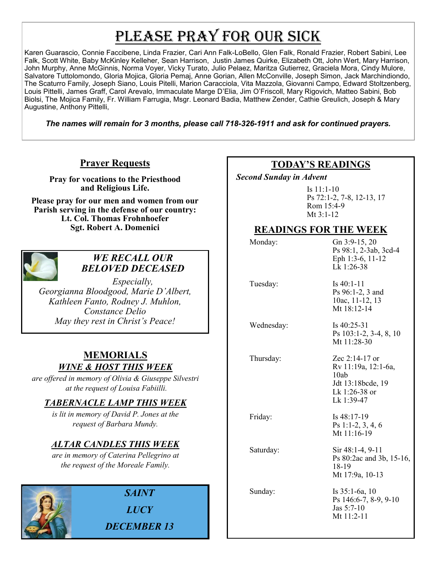# PLEASE PRAY FOR OUR SICK

Karen Guarascio, Connie Faccibene, Linda Frazier, Cari Ann Falk-LoBello, Glen Falk, Ronald Frazier, Robert Sabini, Lee Falk, Scott White, Baby McKinley Kelleher, Sean Harrison, Justin James Quirke, Elizabeth Ott, John Wert, Mary Harrison, John Murphy, Anne McGinnis, Norma Voyer, Vicky Turato, Julio Pelaez, Maritza Gutierrez, Graciela Mora, Cindy Mulore, Salvatore Tuttolomondo, Gloria Mojica, Gloria Pemaj, Anne Gorian, Allen McConville, Joseph Simon, Jack Marchindiondo, The Scaturro Family, Joseph Siano, Louis Pitelli, Marion Caracciola, Vita Mazzola, Giovanni Campo, Edward Stoltzenberg, Louis Pittelli, James Graff, Carol Arevalo, Immaculate Marge D'Elia, Jim O'Friscoll, Mary Rigovich, Matteo Sabini, Bob Biolsi, The Mojica Family, Fr. William Farrugia, Msgr. Leonard Badia, Matthew Zender, Cathie Greulich, Joseph & Mary Augustine, Anthony Pittelli,

*The names will remain for 3 months, please call 718-326-1911 and ask for continued prayers.*

## **Prayer Requests**

**Pray for vocations to the Priesthood and Religious Life.** 

**Please pray for our men and women from our Parish serving in the defense of our country: Lt. Col. Thomas Frohnhoefer Sgt. Robert A. Domenici** 



#### *WE RECALL OUR BELOVED DECEASED*

*Especially, Georgianna Bloodgood, Marie D'Albert, Kathleen Fanto, Rodney J. Muhlon, Constance Delio May they rest in Christ's Peace!*

#### **MEMORIALS** *WINE & HOST THIS WEEK*

*are offered in memory of Olivia & Giuseppe Silvestri at the request of Louisa Fabiilli.* 

## *TABERNACLE LAMP THIS WEEK*

*is lit in memory of David P. Jones at the request of Barbara Mundy.*

## *ALTAR CANDLES THIS WEEK*

*are in memory of Caterina Pellegrino at the request of the Moreale Family.* 



*SAINT LUCY DECEMBER 13*

### **TODAY'S READINGS**

 *Second Sunday in Advent* 

Is 11:1-10 Ps 72:1-2, 7-8, 12-13, 17 Rom 15:4-9 Mt 3:1-12

#### **READINGS FOR THE WEEK**

| Monday:    | Gn 3:9-15, 20<br>Ps 98:1, 2-3ab, 3cd-4<br>Eph 1:3-6, 11-12<br>Lk 1:26-38                            |
|------------|-----------------------------------------------------------------------------------------------------|
| Tuesday:   | Is $40:1-11$<br>Ps 96:1-2, 3 and<br>10ac, 11-12, 13<br>Mt $18:12-14$                                |
| Wednesday: | Is $40:25-31$<br>Ps 103:1-2, 3-4, 8, 10<br>Mt 11:28-30                                              |
| Thursday:  | Zec $2:14-17$ or<br>Rv 11:19a, 12:1-6a,<br>10ab<br>Jdt 13:18bcde, 19<br>Lk 1:26-38 or<br>Lk 1:39-47 |
| Friday:    | Is $48:17-19$<br>Ps 1:1-2, 3, 4, 6<br>Mt 11:16-19                                                   |
| Saturday:  | Sir 48:1-4, 9-11<br>Ps 80:2ac and 3b, 15-16,<br>18-19<br>Mt 17:9a, 10-13                            |
| Sunday:    | Is $35:1-6a$ , 10<br>Ps 146:6-7, 8-9, 9-10<br>Jas 5:7-10<br>Mt $11:2-11$                            |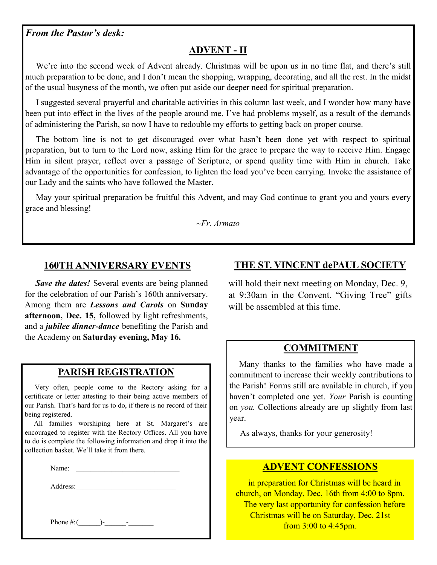#### *From the Pastor's desk:*

## **ADVENT - II**

We're into the second week of Advent already. Christmas will be upon us in no time flat, and there's still much preparation to be done, and I don't mean the shopping, wrapping, decorating, and all the rest. In the midst of the usual busyness of the month, we often put aside our deeper need for spiritual preparation.

 I suggested several prayerful and charitable activities in this column last week, and I wonder how many have been put into effect in the lives of the people around me. I've had problems myself, as a result of the demands of administering the Parish, so now I have to redouble my efforts to getting back on proper course.

 The bottom line is not to get discouraged over what hasn't been done yet with respect to spiritual preparation, but to turn to the Lord now, asking Him for the grace to prepare the way to receive Him. Engage Him in silent prayer, reflect over a passage of Scripture, or spend quality time with Him in church. Take advantage of the opportunities for confession, to lighten the load you've been carrying. Invoke the assistance of our Lady and the saints who have followed the Master.

 May your spiritual preparation be fruitful this Advent, and may God continue to grant you and yours every grace and blessing!

*~Fr. Armato*

#### **160TH ANNIVERSARY EVENTS**

*Save the dates!* Several events are being planned for the celebration of our Parish's 160th anniversary. Among them are *Lessons and Carols* on **Sunday afternoon, Dec. 15,** followed by light refreshments, and a *jubilee dinner-dance* benefiting the Parish and the Academy on **Saturday evening, May 16.**

#### **PARISH REGISTRATION**

 Very often, people come to the Rectory asking for a certificate or letter attesting to their being active members of our Parish. That's hard for us to do, if there is no record of their being registered.

 All families worshiping here at St. Margaret's are encouraged to register with the Rectory Offices. All you have to do is complete the following information and drop it into the collection basket. We'll take it from there.

Name:

Address:

Phone  $\#$ :(  $\qquad$ )-

#### **THE ST. VINCENT dePAUL SOCIETY**

will hold their next meeting on Monday, Dec. 9, at 9:30am in the Convent. "Giving Tree" gifts will be assembled at this time.

#### **COMMITMENT**

 Many thanks to the families who have made a commitment to increase their weekly contributions to the Parish! Forms still are available in church, if you haven't completed one yet. *Your* Parish is counting on *you.* Collections already are up slightly from last year.

As always, thanks for your generosity!

#### **ADVENT CONFESSIONS**

 in preparation for Christmas will be heard in church, on Monday, Dec, 16th from 4:00 to 8pm. The very last opportunity for confession before Christmas will be on Saturday, Dec. 21st from 3:00 to 4:45pm.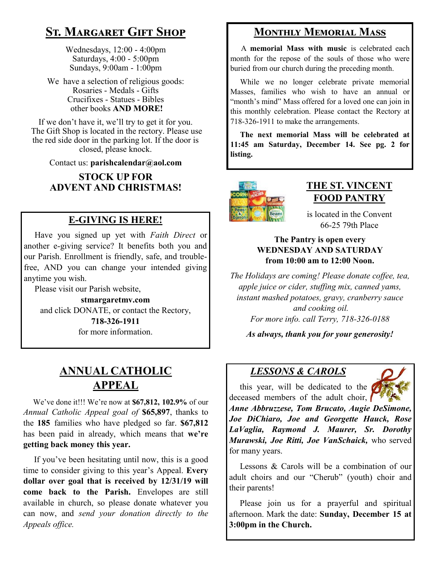# **St. Margaret Gift Shop**

Wednesdays, 12:00 - 4:00pm Saturdays, 4:00 - 5:00pm Sundays, 9:00am - 1:00pm

We have a selection of religious goods: Rosaries - Medals - Gifts Crucifixes - Statues - Bibles other books **AND MORE!**

If we don't have it, we'll try to get it for you. The Gift Shop is located in the rectory. Please use the red side door in the parking lot. If the door is closed, please knock.

Contact us: **parishcalendar@aol.com**

**STOCK UP FOR ADVENT AND CHRISTMAS!**

#### **E-GIVING IS HERE!**

 Have you signed up yet with *Faith Direct* or another e-giving service? It benefits both you and our Parish. Enrollment is friendly, safe, and troublefree, AND you can change your intended giving anytime you wish.

Please visit our Parish website,

**stmargaretmv.com** and click DONATE, or contact the Rectory, **718-326-1911** for more information.

## **ANNUAL CATHOLIC APPEAL**

 We've done it!!! We're now at **\$67,812, 102.9%** of our *Annual Catholic Appeal goal of* **\$65,897**, thanks to the **185** families who have pledged so far. **\$67,812**  has been paid in already, which means that **we're getting back money this year.** 

 If you've been hesitating until now, this is a good time to consider giving to this year's Appeal. **Every dollar over goal that is received by 12/31/19 will come back to the Parish.** Envelopes are still available in church, so please donate whatever you can now, and *send your donation directly to the Appeals office.*

## **Monthly Memorial Mass**

 A **memorial Mass with music** is celebrated each month for the repose of the souls of those who were buried from our church during the preceding month.

 While we no longer celebrate private memorial Masses, families who wish to have an annual or "month's mind" Mass offered for a loved one can join in this monthly celebration. Please contact the Rectory at 718-326-1911 to make the arrangements.

 **The next memorial Mass will be celebrated at 11:45 am Saturday, December 14. See pg. 2 for listing.** 



#### **THE ST. VINCENT FOOD PANTRY**

is located in the Convent 66-25 79th Place

#### **The Pantry is open every WEDNESDAY AND SATURDAY from 10:00 am to 12:00 Noon.**

*The Holidays are coming! Please donate coffee, tea, apple juice or cider, stuffing mix, canned yams, instant mashed potatoes, gravy, cranberry sauce and cooking oil. For more info. call Terry, 718-326-0188*

*As always, thank you for your generosity!*

#### *LESSONS & CAROLS*

this year, will be dedicated to the deceased members of the adult choir,  $\int$ 



*Anne Abbruzzese, Tom Brucato, Augie DeSimone, Joe DiChiaro, Joe and Georgette Hauck, Rose LaVaglia, Raymond J. Maurer, Sr. Dorothy Murawski, Joe Ritti, Joe VanSchaick,* who served for many years.

 Lessons & Carols will be a combination of our adult choirs and our "Cherub" (youth) choir and their parents!

 Please join us for a prayerful and spiritual afternoon. Mark the date: **Sunday, December 15 at 3:00pm in the Church.**